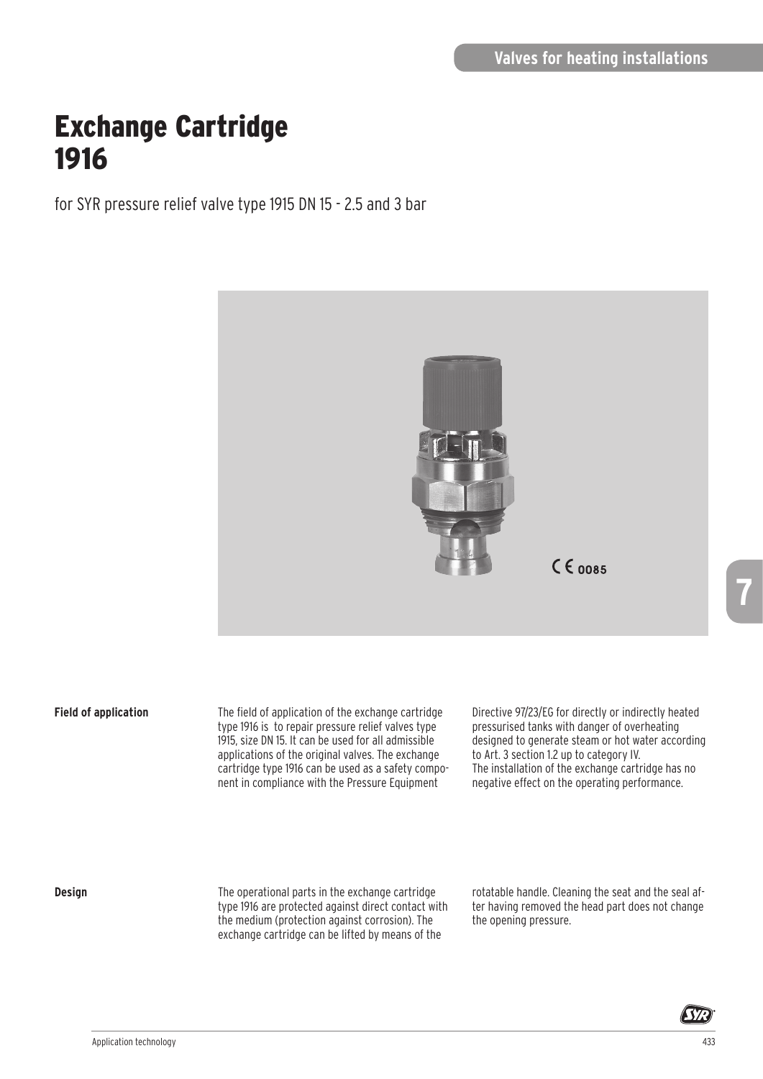# Exchange Cartridge 1916

for SYR pressure relief valve type 1915 DN 15 - 2.5 and 3 bar



### **Field of application**

The field of application of the exchange cartridge type 1916 is to repair pressure relief valves type 1915, size DN 15. It can be used for all admissible applications of the original valves. The exchange cartridge type 1916 can be used as a safety component in compliance with the Pressure Equipment

Directive 97/23/EG for directly or indirectly heated pressurised tanks with danger of overheating designed to generate steam or hot water according to Art. 3 section 1.2 up to category IV. The installation of the exchange cartridge has no negative effect on the operating performance.

#### **Design**

The operational parts in the exchange cartridge type 1916 are protected against direct contact with the medium (protection against corrosion). The exchange cartridge can be lifted by means of the

rotatable handle. Cleaning the seat and the seal after having removed the head part does not change the opening pressure.



**7**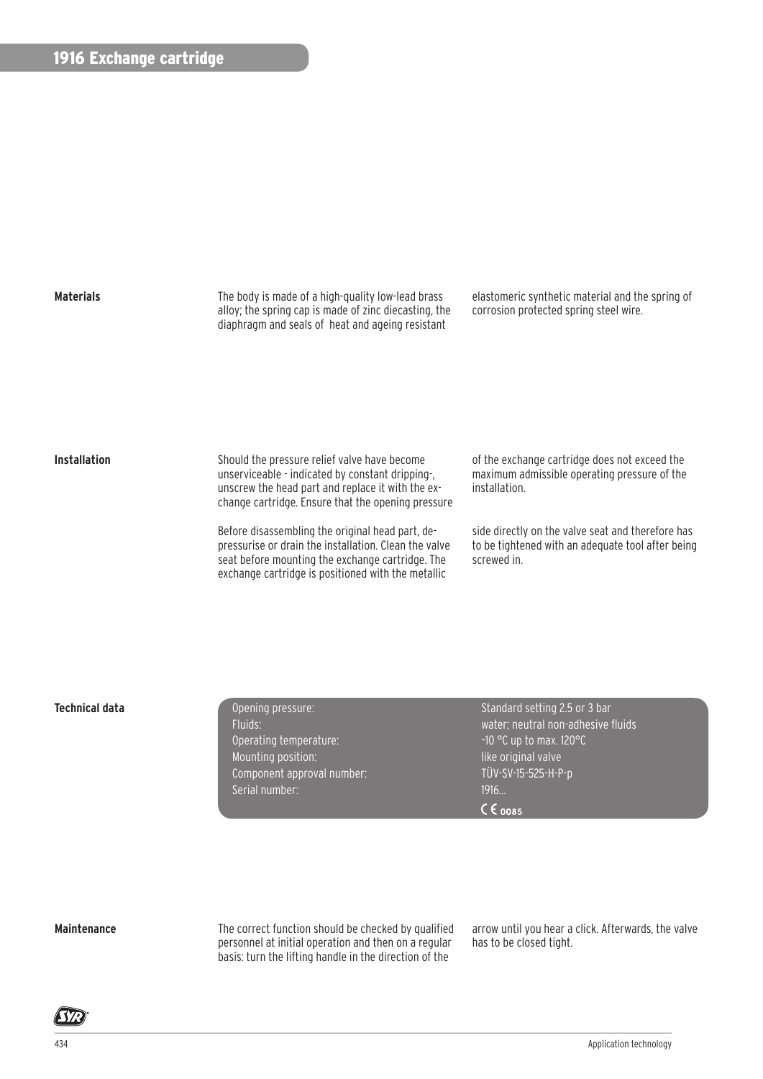

The body is made of a high-quality low-lead brass alloy; the spring cap is made of zinc diecasting, the diaphragm and seals of heat and ageing resistant

elastomeric synthetic material and the spring of corrosion protected spring steel wire.

#### **Installation**

Should the pressure relief valve have become unserviceable - indicated by constant dripping-, unscrew the head part and replace it with the exchange cartridge. Ensure that the opening pressure

Before disassembling the original head part, depressurise or drain the installation. Clean the valve seat before mounting the exchange cartridge. The exchange cartridge is positioned with the metallic

of the exchange cartridge does not exceed the maximum admissible operating pressure of the installation.

side directly on the valve seat and therefore has to be tightened with an adequate tool after being screwed in.

Operating temperature:  $-10$  °C up to max. 120°C Mounting position: like original valve Component approval number: TÜV-SV-15-525-H-P-p Serial number: 1916...

**Technical data Conserverse Conserverse Conserverse Conserverse Conserverse Conserverse Conserverse Conserverse Conserverse Conserverse Conserverse Conserverse Conserverse Conserverse Conserverse Conserverse Conserverse** Fluids: water; neutral non-adhesive fluids  $C \epsilon$  on 8.5

#### **Maintenance**

The correct function should be checked by qualified personnel at initial operation and then on a regular basis: turn the lifting handle in the direction of the

arrow until you hear a click. Afterwards, the valve has to be closed tight.

**SYR**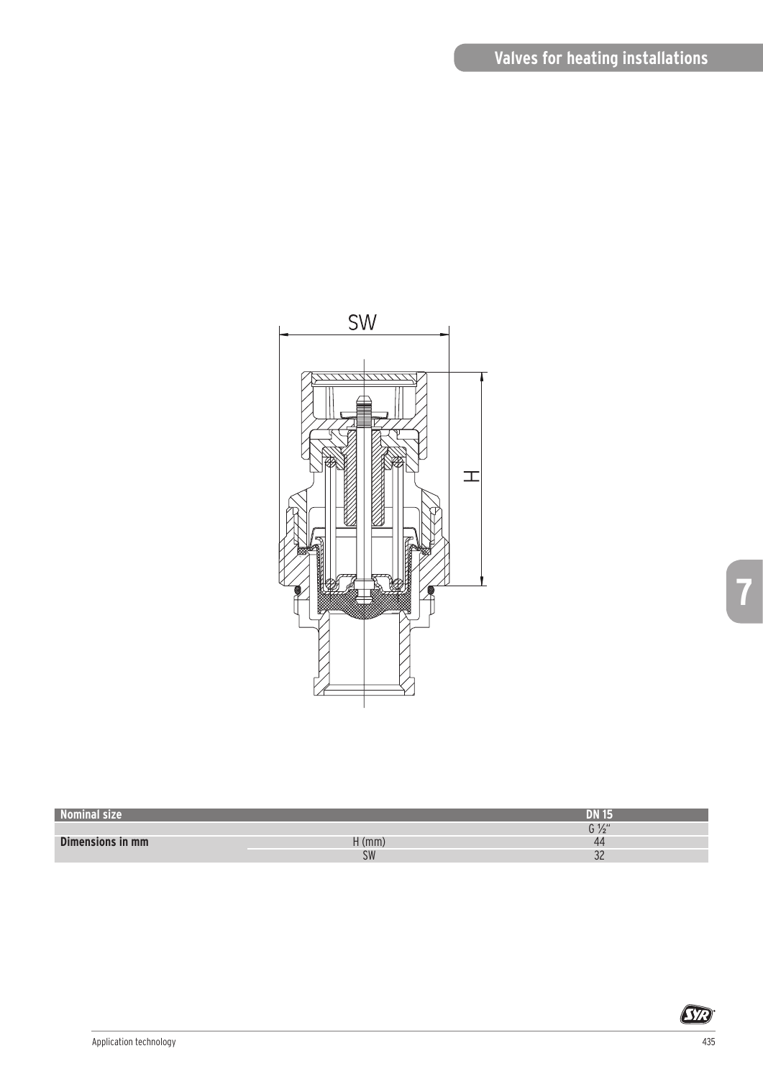## **Valves for heating installations**



| Nominal size     |           | DN            |
|------------------|-----------|---------------|
|                  |           | 0.111<br>V 72 |
| Dimensions in mm | $H$ (mm)  | 44            |
|                  | <b>SW</b> | $\sim$<br>ےں  |

**SYR**